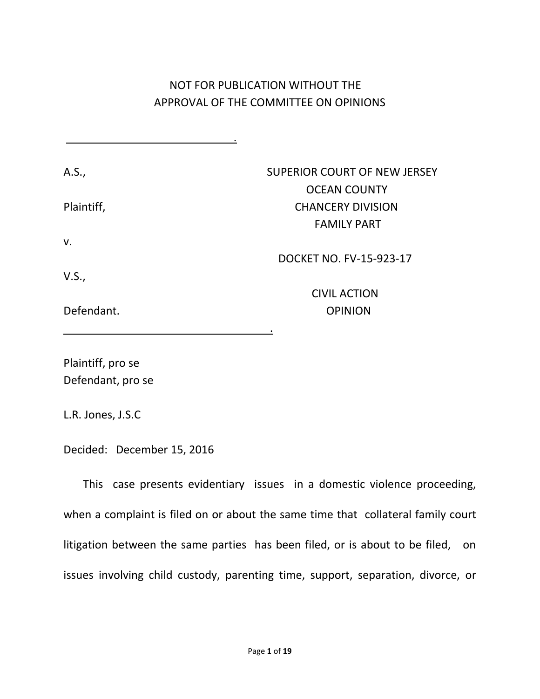# NOT FOR PUBLICATION WITHOUT THE APPROVAL OF THE COMMITTEE ON OPINIONS

| A.S.,      | <b>SUPERIOR COURT OF NEW JERSEY</b> |
|------------|-------------------------------------|
|            | <b>OCEAN COUNTY</b>                 |
| Plaintiff, | <b>CHANCERY DIVISION</b>            |
|            | <b>FAMILY PART</b>                  |
| v.         |                                     |
|            | DOCKET NO. FV-15-923-17             |
| V.S.,      |                                     |
|            | <b>CIVIL ACTION</b>                 |
| Defendant. | <b>OPINION</b>                      |
|            | ٠                                   |

Plaintiff, pro se Defendant, pro se

L.R. Jones, J.S.C

Decided: December 15, 2016

.

This case presents evidentiary issues in a domestic violence proceeding, when a complaint is filed on or about the same time that collateral family court litigation between the same parties has been filed, or is about to be filed, on issues involving child custody, parenting time, support, separation, divorce, or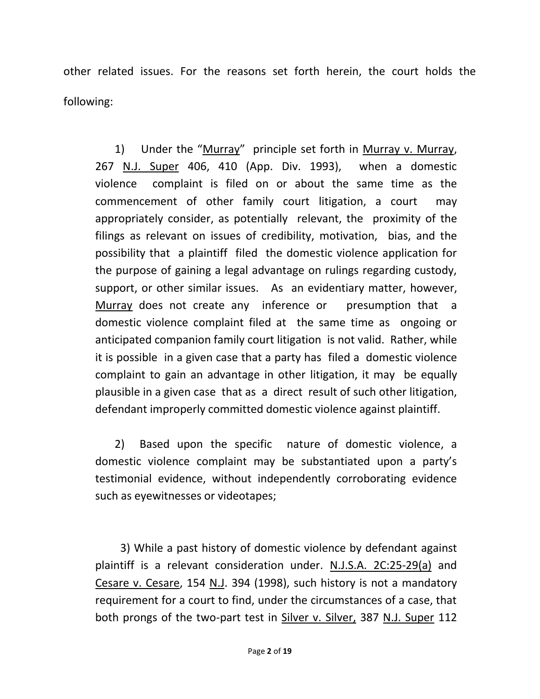other related issues. For the reasons set forth herein, the court holds the following:

 1) Under the "Murray" principle set forth in Murray v. Murray, 267 N.J. Super 406, 410 (App. Div. 1993), when a domestic violence complaint is filed on or about the same time as the commencement of other family court litigation, a court may appropriately consider, as potentially relevant, the proximity of the filings as relevant on issues of credibility, motivation, bias, and the possibility that a plaintiff filed the domestic violence application for the purpose of gaining a legal advantage on rulings regarding custody, support, or other similar issues. As an evidentiary matter, however, Murray does not create any inference or presumption that a domestic violence complaint filed at the same time as ongoing or anticipated companion family court litigation is not valid. Rather, while it is possible in a given case that a party has filed a domestic violence complaint to gain an advantage in other litigation, it may be equally plausible in a given case that as a direct result of such other litigation, defendant improperly committed domestic violence against plaintiff.

 2) Based upon the specific nature of domestic violence, a domestic violence complaint may be substantiated upon a party's testimonial evidence, without independently corroborating evidence such as eyewitnesses or videotapes;

 3) While a past history of domestic violence by defendant against plaintiff is a relevant consideration under. N.J.S.A. 2C:25-29(a) and Cesare v. Cesare, 154 N.J. 394 (1998), such history is not a mandatory requirement for a court to find, under the circumstances of a case, that both prongs of the two-part test in Silver v. Silver, 387 N.J. Super 112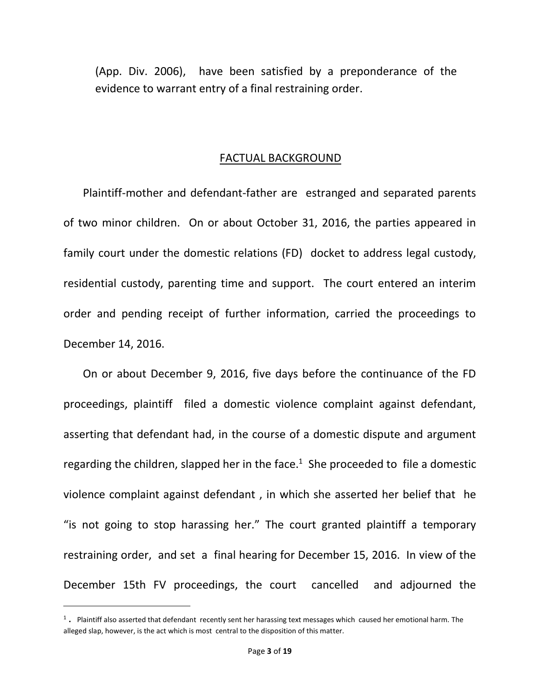(App. Div. 2006), have been satisfied by a preponderance of the evidence to warrant entry of a final restraining order.

### FACTUAL BACKGROUND

 Plaintiff-mother and defendant-father are estranged and separated parents of two minor children. On or about October 31, 2016, the parties appeared in family court under the domestic relations (FD) docket to address legal custody, residential custody, parenting time and support. The court entered an interim order and pending receipt of further information, carried the proceedings to December 14, 2016.

 On or about December 9, 2016, five days before the continuance of the FD proceedings, plaintiff filed a domestic violence complaint against defendant, asserting that defendant had, in the course of a domestic dispute and argument regarding the children, slapped her in the face. $1$  She proceeded to file a domestic violence complaint against defendant , in which she asserted her belief that he "is not going to stop harassing her." The court granted plaintiff a temporary restraining order, and set a final hearing for December 15, 2016. In view of the December 15th FV proceedings, the court cancelled and adjourned the

l

 $^1$ . Plaintiff also asserted that defendant recently sent her harassing text messages which caused her emotional harm. The alleged slap, however, is the act which is most central to the disposition of this matter.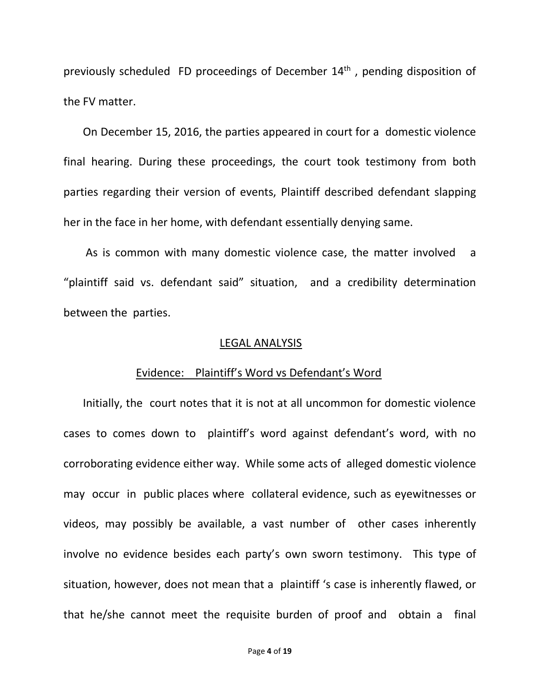previously scheduled FD proceedings of December 14<sup>th</sup>, pending disposition of the FV matter.

 On December 15, 2016, the parties appeared in court for a domestic violence final hearing. During these proceedings, the court took testimony from both parties regarding their version of events, Plaintiff described defendant slapping her in the face in her home, with defendant essentially denying same.

 As is common with many domestic violence case, the matter involved a "plaintiff said vs. defendant said" situation, and a credibility determination between the parties.

#### LEGAL ANALYSIS

#### Evidence: Plaintiff's Word vs Defendant's Word

 Initially, the court notes that it is not at all uncommon for domestic violence cases to comes down to plaintiff's word against defendant's word, with no corroborating evidence either way. While some acts of alleged domestic violence may occur in public places where collateral evidence, such as eyewitnesses or videos, may possibly be available, a vast number of other cases inherently involve no evidence besides each party's own sworn testimony. This type of situation, however, does not mean that a plaintiff 's case is inherently flawed, or that he/she cannot meet the requisite burden of proof and obtain a final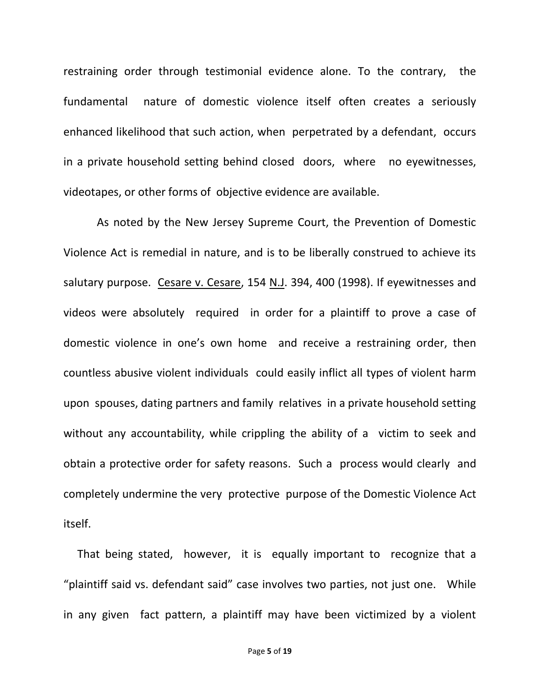restraining order through testimonial evidence alone. To the contrary, the fundamental nature of domestic violence itself often creates a seriously enhanced likelihood that such action, when perpetrated by a defendant, occurs in a private household setting behind closed doors, where no eyewitnesses, videotapes, or other forms of objective evidence are available.

 As noted by the New Jersey Supreme Court, the Prevention of Domestic Violence Act is remedial in nature, and is to be liberally construed to achieve its salutary purpose. Cesare v. Cesare, 154 N.J. 394, 400 (1998). If eyewitnesses and videos were absolutely required in order for a plaintiff to prove a case of domestic violence in one's own home and receive a restraining order, then countless abusive violent individuals could easily inflict all types of violent harm upon spouses, dating partners and family relatives in a private household setting without any accountability, while crippling the ability of a victim to seek and obtain a protective order for safety reasons. Such a process would clearly and completely undermine the very protective purpose of the Domestic Violence Act itself.

 That being stated, however, it is equally important to recognize that a "plaintiff said vs. defendant said" case involves two parties, not just one. While in any given fact pattern, a plaintiff may have been victimized by a violent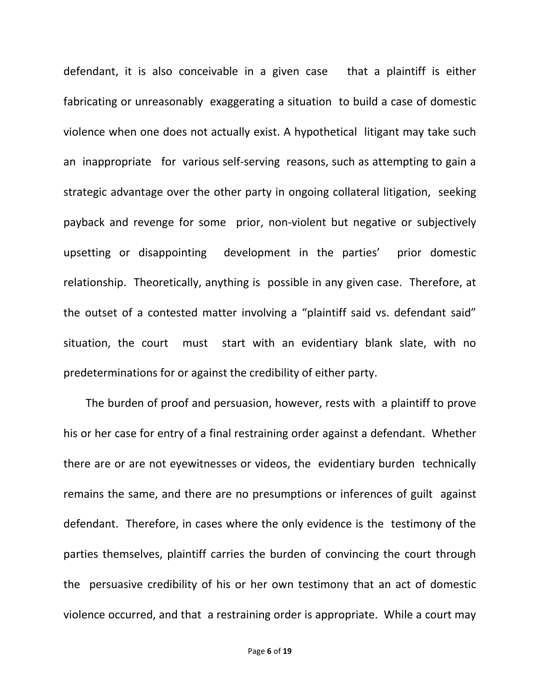defendant, it is also conceivable in a given case that a plaintiff is either fabricating or unreasonably exaggerating a situation to build a case of domestic violence when one does not actually exist. A hypothetical litigant may take such an inappropriate for various self-serving reasons, such as attempting to gain a strategic advantage over the other party in ongoing collateral litigation, seeking payback and revenge for some prior, non-violent but negative or subjectively upsetting or disappointing development in the parties' prior domestic relationship. Theoretically, anything is possible in any given case. Therefore, at the outset of a contested matter involving a "plaintiff said vs. defendant said" situation, the court must start with an evidentiary blank slate, with no predeterminations for or against the credibility of either party.

 The burden of proof and persuasion, however, rests with a plaintiff to prove his or her case for entry of a final restraining order against a defendant. Whether there are or are not eyewitnesses or videos, the evidentiary burden technically remains the same, and there are no presumptions or inferences of guilt against defendant. Therefore, in cases where the only evidence is the testimony of the parties themselves, plaintiff carries the burden of convincing the court through the persuasive credibility of his or her own testimony that an act of domestic violence occurred, and that a restraining order is appropriate. While a court may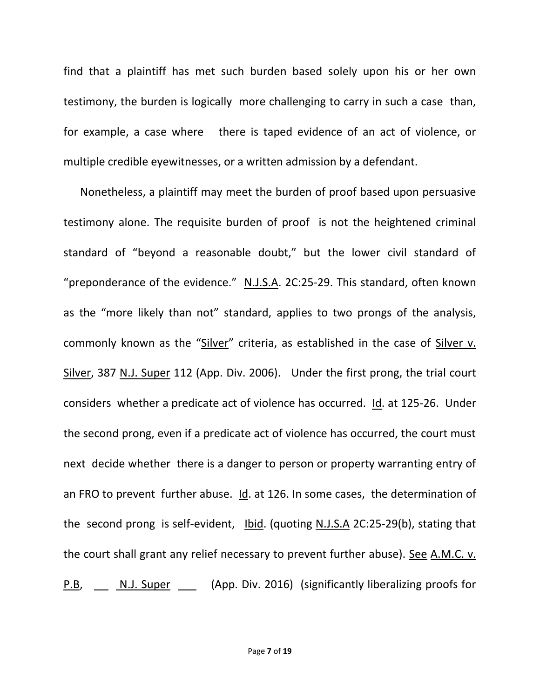find that a plaintiff has met such burden based solely upon his or her own testimony, the burden is logically more challenging to carry in such a case than, for example, a case where there is taped evidence of an act of violence, or multiple credible eyewitnesses, or a written admission by a defendant.

 Nonetheless, a plaintiff may meet the burden of proof based upon persuasive testimony alone. The requisite burden of proof is not the heightened criminal standard of "beyond a reasonable doubt," but the lower civil standard of "preponderance of the evidence." N.J.S.A. 2C:25-29. This standard, often known as the "more likely than not" standard, applies to two prongs of the analysis, commonly known as the "Silver" criteria, as established in the case of Silver v. Silver, 387 N.J. Super 112 (App. Div. 2006). Under the first prong, the trial court considers whether a predicate act of violence has occurred. Id. at 125-26. Under the second prong, even if a predicate act of violence has occurred, the court must next decide whether there is a danger to person or property warranting entry of an FRO to prevent further abuse. Id. at 126. In some cases, the determination of the second prong is self-evident, Ibid. (quoting N.J.S.A 2C:25-29(b), stating that the court shall grant any relief necessary to prevent further abuse). See A.M.C. v. P.B, N.J. Super (App. Div. 2016) (significantly liberalizing proofs for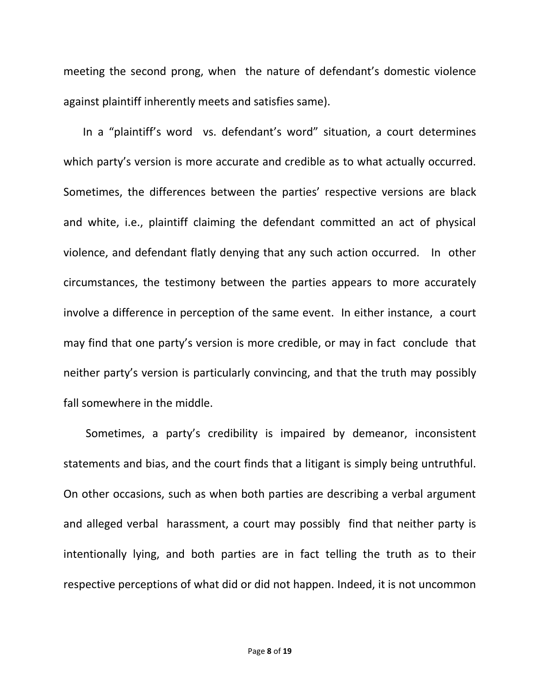meeting the second prong, when the nature of defendant's domestic violence against plaintiff inherently meets and satisfies same).

 In a "plaintiff's word vs. defendant's word" situation, a court determines which party's version is more accurate and credible as to what actually occurred. Sometimes, the differences between the parties' respective versions are black and white, i.e., plaintiff claiming the defendant committed an act of physical violence, and defendant flatly denying that any such action occurred. In other circumstances, the testimony between the parties appears to more accurately involve a difference in perception of the same event. In either instance, a court may find that one party's version is more credible, or may in fact conclude that neither party's version is particularly convincing, and that the truth may possibly fall somewhere in the middle.

 Sometimes, a party's credibility is impaired by demeanor, inconsistent statements and bias, and the court finds that a litigant is simply being untruthful. On other occasions, such as when both parties are describing a verbal argument and alleged verbal harassment, a court may possibly find that neither party is intentionally lying, and both parties are in fact telling the truth as to their respective perceptions of what did or did not happen. Indeed, it is not uncommon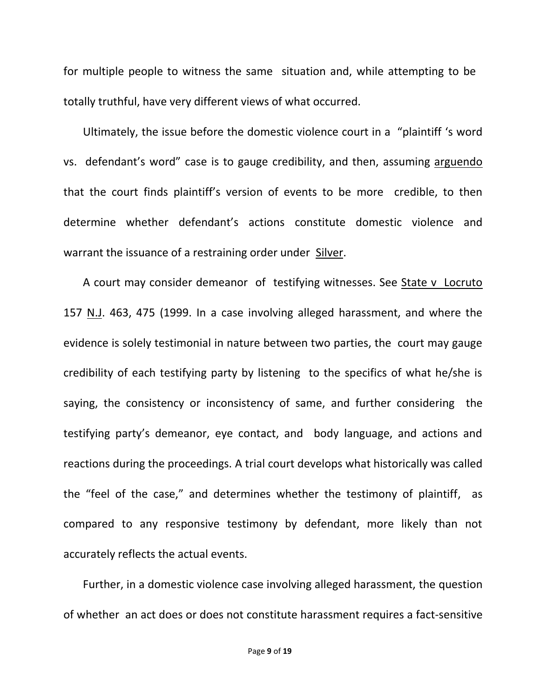for multiple people to witness the same situation and, while attempting to be totally truthful, have very different views of what occurred.

 Ultimately, the issue before the domestic violence court in a "plaintiff 's word vs. defendant's word" case is to gauge credibility, and then, assuming arguendo that the court finds plaintiff's version of events to be more credible, to then determine whether defendant's actions constitute domestic violence and warrant the issuance of a restraining order under Silver.

 A court may consider demeanor of testifying witnesses. See State v Locruto 157 N.J. 463, 475 (1999. In a case involving alleged harassment, and where the evidence is solely testimonial in nature between two parties, the court may gauge credibility of each testifying party by listening to the specifics of what he/she is saying, the consistency or inconsistency of same, and further considering the testifying party's demeanor, eye contact, and body language, and actions and reactions during the proceedings. A trial court develops what historically was called the "feel of the case," and determines whether the testimony of plaintiff, as compared to any responsive testimony by defendant, more likely than not accurately reflects the actual events.

 Further, in a domestic violence case involving alleged harassment, the question of whether an act does or does not constitute harassment requires a fact-sensitive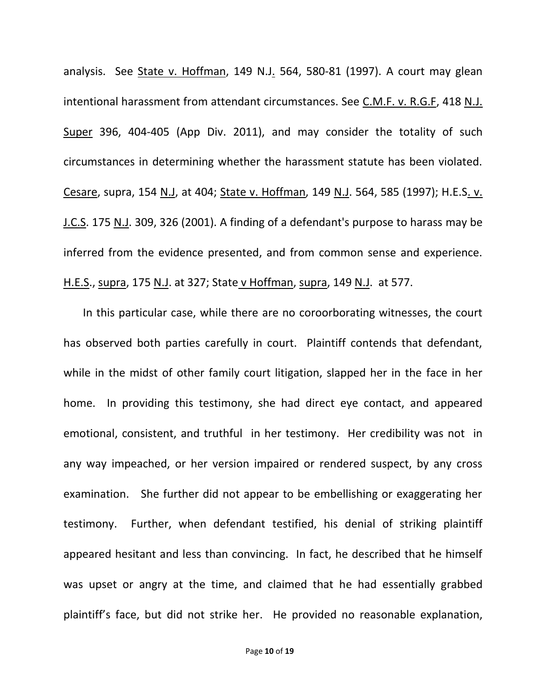analysis. See State v. Hoffman, 149 N.J. 564, 580-81 (1997). A court may glean intentional harassment from attendant circumstances. See C.M.F. v. R.G.F, 418 N.J. Super 396, 404-405 (App Div. 2011), and may consider the totality of such circumstances in determining whether the harassment statute has been violated. Cesare, supra, 154 N.J, at 404; State v. Hoffman, 149 N.J. 564, 585 (1997); H.E.S. v. J.C.S. 175 N.J. 309, 326 (2001). A finding of a defendant's purpose to harass may be inferred from the evidence presented, and from common sense and experience. H.E.S., supra, 175 N.J. at 327; State v Hoffman, supra, 149 N.J. at 577.

 In this particular case, while there are no coroorborating witnesses, the court has observed both parties carefully in court. Plaintiff contends that defendant, while in the midst of other family court litigation, slapped her in the face in her home. In providing this testimony, she had direct eye contact, and appeared emotional, consistent, and truthful in her testimony. Her credibility was not in any way impeached, or her version impaired or rendered suspect, by any cross examination. She further did not appear to be embellishing or exaggerating her testimony. Further, when defendant testified, his denial of striking plaintiff appeared hesitant and less than convincing. In fact, he described that he himself was upset or angry at the time, and claimed that he had essentially grabbed plaintiff's face, but did not strike her. He provided no reasonable explanation,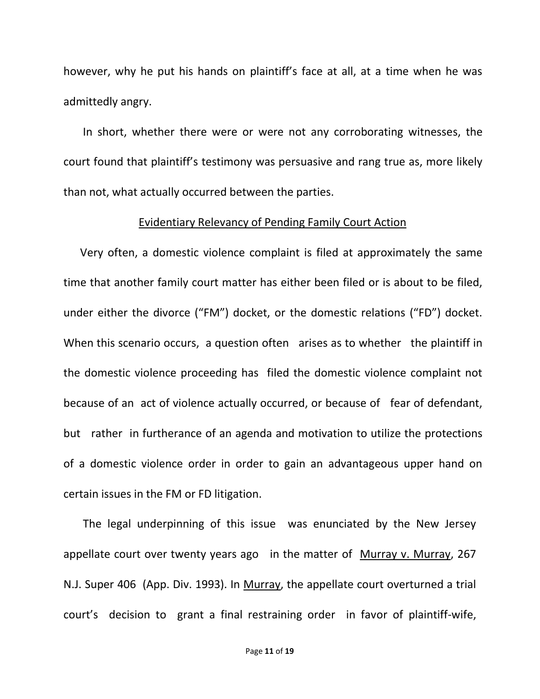however, why he put his hands on plaintiff's face at all, at a time when he was admittedly angry.

 In short, whether there were or were not any corroborating witnesses, the court found that plaintiff's testimony was persuasive and rang true as, more likely than not, what actually occurred between the parties.

# Evidentiary Relevancy of Pending Family Court Action

 Very often, a domestic violence complaint is filed at approximately the same time that another family court matter has either been filed or is about to be filed, under either the divorce ("FM") docket, or the domestic relations ("FD") docket. When this scenario occurs, a question often arises as to whether the plaintiff in the domestic violence proceeding has filed the domestic violence complaint not because of an act of violence actually occurred, or because of fear of defendant, but rather in furtherance of an agenda and motivation to utilize the protections of a domestic violence order in order to gain an advantageous upper hand on certain issues in the FM or FD litigation.

 The legal underpinning of this issue was enunciated by the New Jersey appellate court over twenty years ago in the matter of Murray v. Murray, 267 N.J. Super 406 (App. Div. 1993). In Murray, the appellate court overturned a trial court's decision to grant a final restraining order in favor of plaintiff-wife,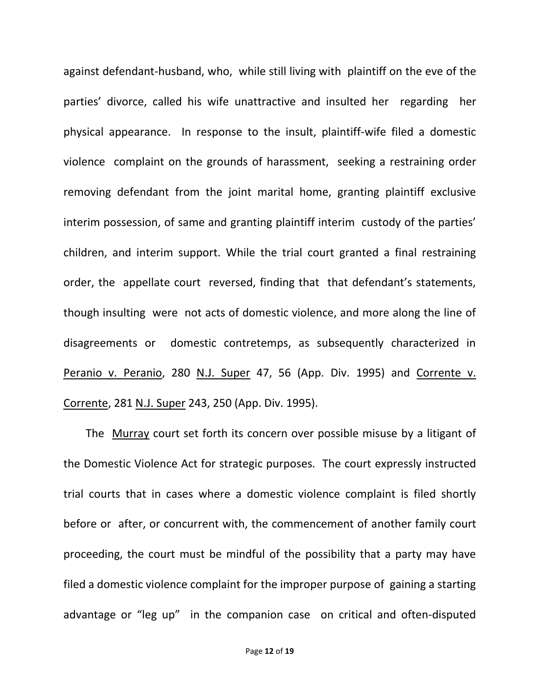against defendant-husband, who, while still living with plaintiff on the eve of the parties' divorce, called his wife unattractive and insulted her regarding her physical appearance. In response to the insult, plaintiff-wife filed a domestic violence complaint on the grounds of harassment, seeking a restraining order removing defendant from the joint marital home, granting plaintiff exclusive interim possession, of same and granting plaintiff interim custody of the parties' children, and interim support. While the trial court granted a final restraining order, the appellate court reversed, finding that that defendant's statements, though insulting were not acts of domestic violence, and more along the line of disagreements or domestic contretemps, as subsequently characterized in Peranio v. Peranio, 280 N.J. Super 47, 56 (App. Div. 1995) and Corrente v. Corrente, 281 N.J. Super 243, 250 (App. Div. 1995).

The Murray court set forth its concern over possible misuse by a litigant of the Domestic Violence Act for strategic purposes. The court expressly instructed trial courts that in cases where a domestic violence complaint is filed shortly before or after, or concurrent with, the commencement of another family court proceeding, the court must be mindful of the possibility that a party may have filed a domestic violence complaint for the improper purpose of gaining a starting advantage or "leg up" in the companion case on critical and often-disputed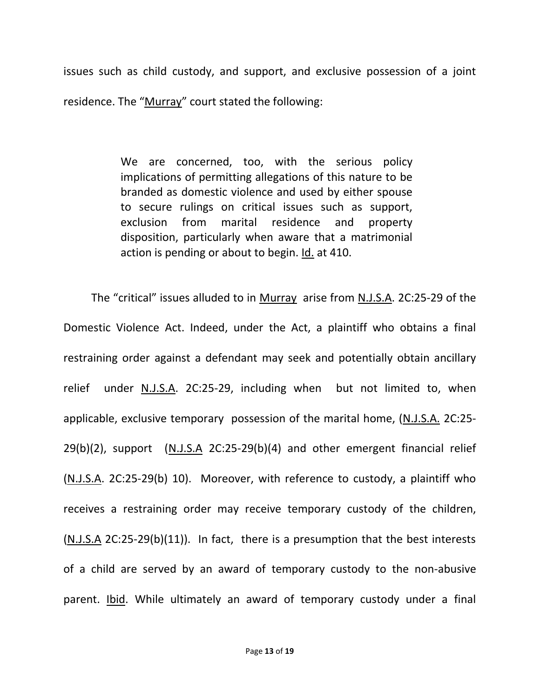issues such as child custody, and support, and exclusive possession of a joint residence. The "Murray" court stated the following:

> We are concerned, too, with the serious policy implications of permitting allegations of this nature to be branded as domestic violence and used by either spouse to secure rulings on critical issues such as support, exclusion from marital residence and property disposition, particularly when aware that a matrimonial action is pending or about to begin. Id. at 410.

The "critical" issues alluded to in Murray arise from N.J.S.A. 2C:25-29 of the Domestic Violence Act. Indeed, under the Act, a plaintiff who obtains a final restraining order against a defendant may seek and potentially obtain ancillary relief under N.J.S.A. 2C:25-29, including when but not limited to, when applicable, exclusive temporary possession of the marital home, (N.J.S.A. 2C:25- 29(b)(2), support (N.J.S.A 2C:25-29(b)(4) and other emergent financial relief (N.J.S.A. 2C:25-29(b) 10). Moreover, with reference to custody, a plaintiff who receives a restraining order may receive temporary custody of the children, (N.J.S.A 2C:25-29(b)(11)). In fact, there is a presumption that the best interests of a child are served by an award of temporary custody to the non-abusive parent. Ibid. While ultimately an award of temporary custody under a final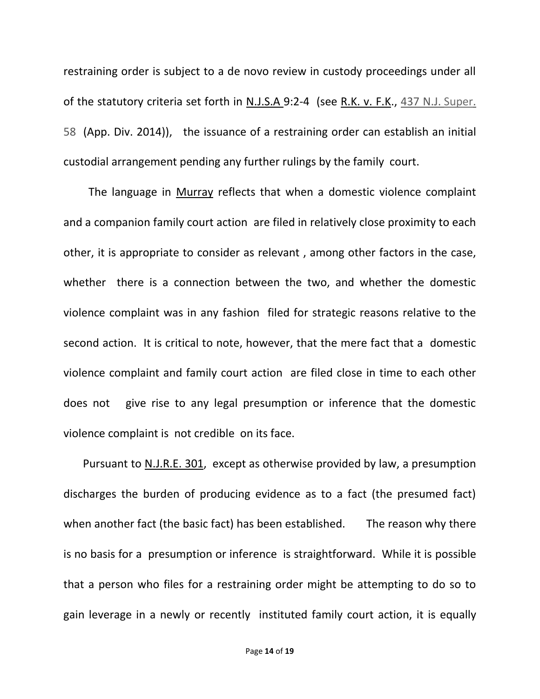restraining order is subject to a de novo review in custody proceedings under all of the statutory criteria set forth in N.J.S.A 9:2-4 (see R.K. v. F.K., 437 N.J. Super. 58 (App. Div. 2014)), the issuance of a restraining order can establish an initial custodial arrangement pending any further rulings by the family court.

 The language in Murray reflects that when a domestic violence complaint and a companion family court action are filed in relatively close proximity to each other, it is appropriate to consider as relevant , among other factors in the case, whether there is a connection between the two, and whether the domestic violence complaint was in any fashion filed for strategic reasons relative to the second action. It is critical to note, however, that the mere fact that a domestic violence complaint and family court action are filed close in time to each other does not give rise to any legal presumption or inference that the domestic violence complaint is not credible on its face.

 Pursuant to N.J.R.E. 301, except as otherwise provided by law, a presumption discharges the burden of producing evidence as to a fact (the presumed fact) when another fact (the basic fact) has been established. The reason why there is no basis for a presumption or inference is straightforward. While it is possible that a person who files for a restraining order might be attempting to do so to gain leverage in a newly or recently instituted family court action, it is equally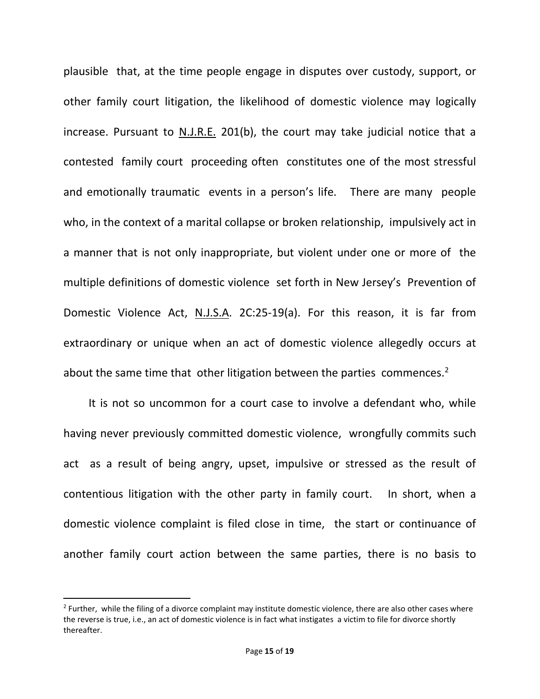plausible that, at the time people engage in disputes over custody, support, or other family court litigation, the likelihood of domestic violence may logically increase. Pursuant to N.J.R.E. 201(b), the court may take judicial notice that a contested family court proceeding often constitutes one of the most stressful and emotionally traumatic events in a person's life. There are many people who, in the context of a marital collapse or broken relationship, impulsively act in a manner that is not only inappropriate, but violent under one or more of the multiple definitions of domestic violence set forth in New Jersey's Prevention of Domestic Violence Act, N.J.S.A. 2C:25-19(a). For this reason, it is far from extraordinary or unique when an act of domestic violence allegedly occurs at about the same time that other litigation between the parties commences.<sup>2</sup>

 It is not so uncommon for a court case to involve a defendant who, while having never previously committed domestic violence, wrongfully commits such act as a result of being angry, upset, impulsive or stressed as the result of contentious litigation with the other party in family court. In short, when a domestic violence complaint is filed close in time, the start or continuance of another family court action between the same parties, there is no basis to

 $\overline{\phantom{a}}$ 

<sup>&</sup>lt;sup>2</sup> Further, while the filing of a divorce complaint may institute domestic violence, there are also other cases where the reverse is true, i.e., an act of domestic violence is in fact what instigates a victim to file for divorce shortly thereafter.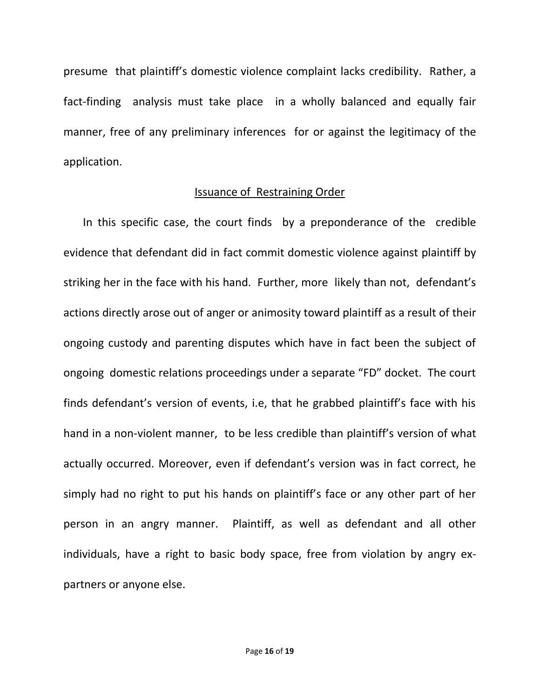presume that plaintiff's domestic violence complaint lacks credibility. Rather, a fact-finding analysis must take place in a wholly balanced and equally fair manner, free of any preliminary inferences for or against the legitimacy of the application.

# Issuance of Restraining Order

 In this specific case, the court finds by a preponderance of the credible evidence that defendant did in fact commit domestic violence against plaintiff by striking her in the face with his hand. Further, more likely than not, defendant's actions directly arose out of anger or animosity toward plaintiff as a result of their ongoing custody and parenting disputes which have in fact been the subject of ongoing domestic relations proceedings under a separate "FD" docket. The court finds defendant's version of events, i.e, that he grabbed plaintiff's face with his hand in a non-violent manner, to be less credible than plaintiff's version of what actually occurred. Moreover, even if defendant's version was in fact correct, he simply had no right to put his hands on plaintiff's face or any other part of her person in an angry manner. Plaintiff, as well as defendant and all other individuals, have a right to basic body space, free from violation by angry expartners or anyone else.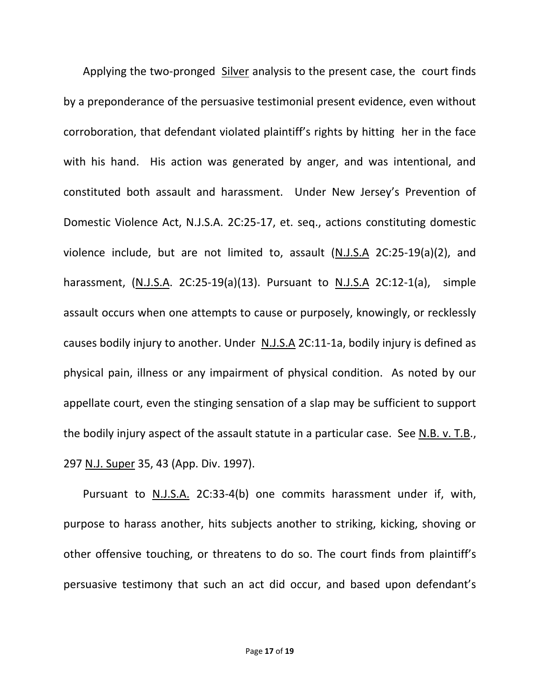Applying the two-pronged Silver analysis to the present case, the court finds by a preponderance of the persuasive testimonial present evidence, even without corroboration, that defendant violated plaintiff's rights by hitting her in the face with his hand. His action was generated by anger, and was intentional, and constituted both assault and harassment. Under New Jersey's Prevention of Domestic Violence Act, N.J.S.A. 2C:25-17, et. seq., actions constituting domestic violence include, but are not limited to, assault (N.J.S.A 2C:25-19(a)(2), and harassment, (N.J.S.A. 2C:25-19(a)(13). Pursuant to N.J.S.A 2C:12-1(a), simple assault occurs when one attempts to cause or purposely, knowingly, or recklessly causes bodily injury to another. Under N.J.S.A 2C:11-1a, bodily injury is defined as physical pain, illness or any impairment of physical condition. As noted by our appellate court, even the stinging sensation of a slap may be sufficient to support the bodily injury aspect of the assault statute in a particular case. See N.B. v. T.B., 297 N.J. Super 35, 43 (App. Div. 1997).

 Pursuant to N.J.S.A. 2C:33-4(b) one commits harassment under if, with, purpose to harass another, hits subjects another to striking, kicking, shoving or other offensive touching, or threatens to do so. The court finds from plaintiff's persuasive testimony that such an act did occur, and based upon defendant's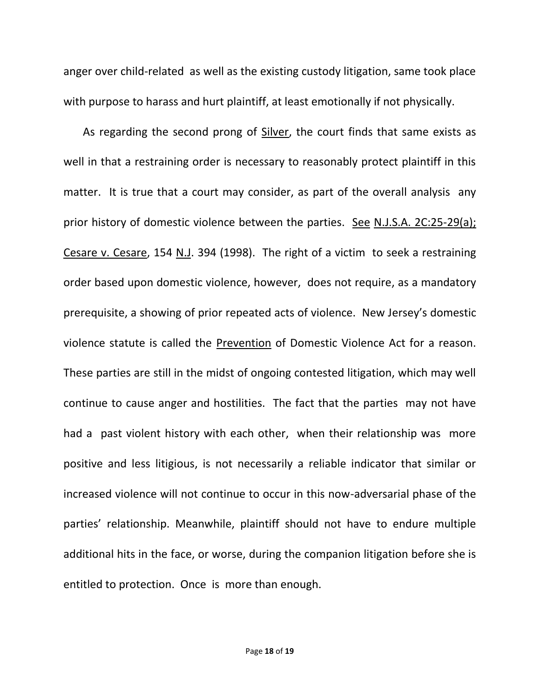anger over child-related as well as the existing custody litigation, same took place with purpose to harass and hurt plaintiff, at least emotionally if not physically.

 As regarding the second prong of Silver, the court finds that same exists as well in that a restraining order is necessary to reasonably protect plaintiff in this matter. It is true that a court may consider, as part of the overall analysis any prior history of domestic violence between the parties. See N.J.S.A. 2C:25-29(a); Cesare v. Cesare, 154 N.J. 394 (1998). The right of a victim to seek a restraining order based upon domestic violence, however, does not require, as a mandatory prerequisite, a showing of prior repeated acts of violence. New Jersey's domestic violence statute is called the Prevention of Domestic Violence Act for a reason. These parties are still in the midst of ongoing contested litigation, which may well continue to cause anger and hostilities. The fact that the parties may not have had a past violent history with each other, when their relationship was more positive and less litigious, is not necessarily a reliable indicator that similar or increased violence will not continue to occur in this now-adversarial phase of the parties' relationship. Meanwhile, plaintiff should not have to endure multiple additional hits in the face, or worse, during the companion litigation before she is entitled to protection. Once is more than enough.